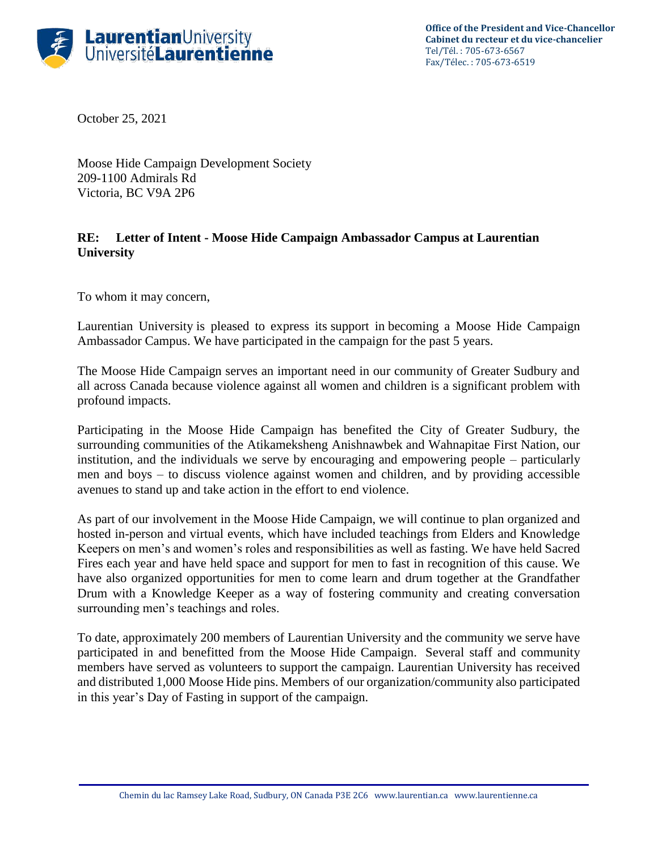

**Office of the President and Vice-Chancellor Cabinet du recteur et du vice-chancelier** Tel/Tél. : 705-673-6567 Fax/Télec. : 705-673-6519

October 25, 2021

Moose Hide Campaign Development Society 209-1100 Admirals Rd Victoria, BC V9A 2P6

## **RE: Letter of Intent - Moose Hide Campaign Ambassador Campus at Laurentian University**

To whom it may concern,

Laurentian University is pleased to express its support in becoming a Moose Hide Campaign Ambassador Campus. We have participated in the campaign for the past 5 years.

The Moose Hide Campaign serves an important need in our community of Greater Sudbury and all across Canada because violence against all women and children is a significant problem with profound impacts.

Participating in the Moose Hide Campaign has benefited the City of Greater Sudbury, the surrounding communities of the Atikameksheng Anishnawbek and Wahnapitae First Nation, our institution, and the individuals we serve by encouraging and empowering people – particularly men and boys – to discuss violence against women and children, and by providing accessible avenues to stand up and take action in the effort to end violence.

As part of our involvement in the Moose Hide Campaign, we will continue to plan organized and hosted in-person and virtual events, which have included teachings from Elders and Knowledge Keepers on men's and women's roles and responsibilities as well as fasting. We have held Sacred Fires each year and have held space and support for men to fast in recognition of this cause. We have also organized opportunities for men to come learn and drum together at the Grandfather Drum with a Knowledge Keeper as a way of fostering community and creating conversation surrounding men's teachings and roles.

To date, approximately 200 members of Laurentian University and the community we serve have participated in and benefitted from the Moose Hide Campaign. Several staff and community members have served as volunteers to support the campaign. Laurentian University has received and distributed 1,000 Moose Hide pins. Members of our organization/community also participated in this year's Day of Fasting in support of the campaign.